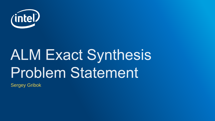

# **ALM Exact Synthesis Problem Statement**

Sergey Gribok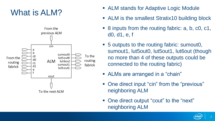## What is ALM?



- ALM stands for Adaptive Logic Module
- ALM is the smallest Stratix10 building block
- 8 inputs from the routing fabric: a, b, c0, c1, d0, d1, e, f
- 5 outputs to the routing fabric: sumout0, sumout1, lut5out0, lut5out1, lut6out (though no more than 4 of these outputs could be connected to the routing fabric)
- ALMs are arranged in a "chain"
- One direct input "cin" from the "previous" neighboring ALM
- One direct output "cout" to the "next" neighboring ALM

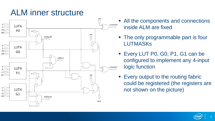### ALM inner structure



- All the components and connections inside ALM are fixed
- The only programmable part is four LUTMASKs
- **Every LUT P0, G0, P1, G1 can be** configured to implement any 4-input logic function
- Every output to the routing fabric could be registered (the registers are not shown on the picture)

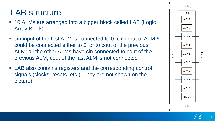### LAB structure

- 10 ALMs are arranged into a bigger block called LAB (Logic Array Block)
- cin input of the first ALM is connected to 0; cin input of ALM 6 could be connected either to 0, or to cout of the previous ALM; all the other ALMs have cin connected to cout of the previous ALM; cout of the last ALM is not connected
- LAB also contains registers and the corresponding control signals (clocks, resets, etc.). They are not shown on the picture)



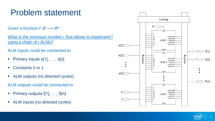### Problem statement

Given a function *f: B<sup>n</sup> ─> B<sup>m</sup>*

What is the minimum number r that allows to implement f using a chain of r ALMs?

ALM inputs could be connected to

- Primary inputs  $x[1], \ldots, x[n]$
- Constants 0 or 1
- ALM outputs (no directed cycles)

ALM outputs could be connected to

- Primary outputs  $f[1], \ldots, f[m]$
- ALM inputs (no directed cycles)

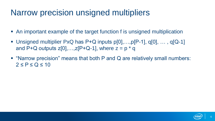#### Narrow precision unsigned multipliers

- An important example of the target function f is unsigned multiplication
- **Unsigned multiplier PxQ has P+Q inputs**  $p[0],...,p[P-1], q[0],...$ **,**  $q[Q-1]$ and P+Q outputs  $z[0],...,z[P+Q-1]$ , where  $z = p * q$
- "Narrow precision" means that both P and Q are relatively small numbers:  $2 \leq P \leq Q \leq 10$

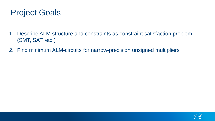#### Project Goals

- 1. Describe ALM structure and constraints as constraint satisfaction problem (SMT, SAT, etc.)
- 2. Find minimum ALM-circuits for narrow-precision unsigned multipliers